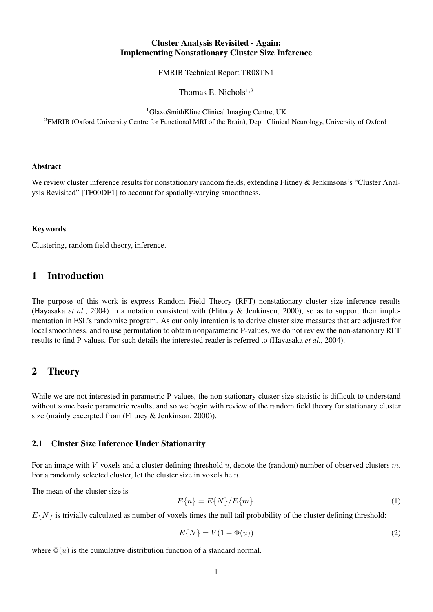### Cluster Analysis Revisited - Again: Implementing Nonstationary Cluster Size Inference

FMRIB Technical Report TR08TN1

Thomas E. Nichols $^{1,2}$ 

<sup>1</sup>GlaxoSmithKline Clinical Imaging Centre, UK

<sup>2</sup>FMRIB (Oxford University Centre for Functional MRI of the Brain), Dept. Clinical Neurology, University of Oxford

#### Abstract

We review cluster inference results for nonstationary random fields, extending Flitney & Jenkinsons's "Cluster Analysis Revisited" [TF00DF1] to account for spatially-varying smoothness.

#### Keywords

Clustering, random field theory, inference.

# 1 Introduction

The purpose of this work is express Random Field Theory (RFT) nonstationary cluster size inference results (Hayasaka *et al.*, 2004) in a notation consistent with (Flitney & Jenkinson, 2000), so as to support their implementation in FSL's randomise program. As our only intention is to derive cluster size measures that are adjusted for local smoothness, and to use permutation to obtain nonparametric P-values, we do not review the non-stationary RFT results to find P-values. For such details the interested reader is referred to (Hayasaka *et al.*, 2004).

# 2 Theory

While we are not interested in parametric P-values, the non-stationary cluster size statistic is difficult to understand without some basic parametric results, and so we begin with review of the random field theory for stationary cluster size (mainly excerpted from (Flitney & Jenkinson, 2000)).

### 2.1 Cluster Size Inference Under Stationarity

For an image with V voxels and a cluster-defining threshold  $u$ , denote the (random) number of observed clusters  $m$ . For a randomly selected cluster, let the cluster size in voxels be n.

The mean of the cluster size is

$$
E{n} = E{N}/E{m}.
$$
\n<sup>(1)</sup>

 $E\{N\}$  is trivially calculated as number of voxels times the null tail probability of the cluster defining threshold:

$$
E\{N\} = V(1 - \Phi(u))\tag{2}
$$

where  $\Phi(u)$  is the cumulative distribution function of a standard normal.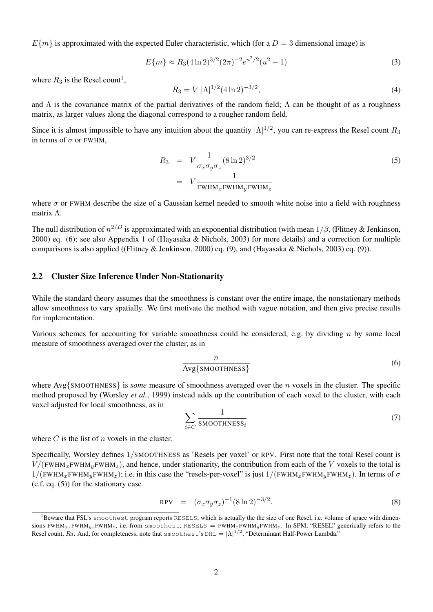$E{m}$  is approximated with the expected Euler characteristic, which (for a  $D = 3$  dimensional image) is

$$
E\{m\} \approx R_3 (4 \ln 2)^{3/2} (2\pi)^{-2} e^{u^2/2} (u^2 - 1)
$$
\n(3)

where  $R_3$  is the Resel count<sup>1</sup>,

$$
R_3 = V |\Lambda|^{1/2} (4 \ln 2)^{-3/2},\tag{4}
$$

and  $\Lambda$  is the covariance matrix of the partial derivatives of the random field;  $\Lambda$  can be thought of as a roughness matrix, as larger values along the diagonal correspond to a rougher random field.

Since it is almost impossible to have any intuition about the quantity  $|\Lambda|^{1/2}$ , you can re-express the Resel count  $R_3$ in terms of  $\sigma$  or FWHM,

$$
R_3 = V \frac{1}{\sigma_x \sigma_y \sigma_z} (8 \ln 2)^{3/2}
$$
  
=  $V \frac{1}{FWHM_xFWHM_yFWHM_z}$  (5)

where  $\sigma$  or FWHM describe the size of a Gaussian kernel needed to smooth white noise into a field with roughness matrix Λ.

The null distribution of  $n^{2/D}$  is approximated with an exponential distribution (with mean  $1/\beta$ , (Flitney & Jenkinson, 2000) eq. (6); see also Appendix 1 of (Hayasaka & Nichols, 2003) for more details) and a correction for multiple comparisons is also applied ((Flitney & Jenkinson, 2000) eq. (9), and (Hayasaka & Nichols, 2003) eq. (9)).

### 2.2 Cluster Size Inference Under Non-Stationarity

While the standard theory assumes that the smoothness is constant over the entire image, the nonstationary methods allow smoothness to vary spatially. We first motivate the method with vague notation, and then give precise results for implementation.

Various schemes for accounting for variable smoothness could be considered, e.g. by dividing n by some local measure of smoothness averaged over the cluster, as in

$$
\frac{n}{\text{Avg}\{\text{SMOOTHNESS}\}}\tag{6}
$$

where Avg{SMOOTHNESS} is *some* measure of smoothness averaged over the n voxels in the cluster. The specific method proposed by (Worsley *et al.*, 1999) instead adds up the contribution of each voxel to the cluster, with each voxel adjusted for local smoothness, as in

$$
\sum_{i \in C} \frac{1}{\text{SMOOTHNESS}_i} \tag{7}
$$

where  $C$  is the list of  $n$  voxels in the cluster.

Specifically, Worsley defines 1/SMOOTHNESS as 'Resels per voxel' or RPV. First note that the total Resel count is  $V/(FWHM_xFWHM_yFWHM_z)$ , and hence, under stationarity, the contribution from each of the V voxels to the total is  $1/(\text{FWHM}_x\text{FWHM}_y\text{FWHM}_z)$ ; i.e. in this case the "resels-per-voxel" is just  $1/(\text{FWHM}_x\text{FWHM}_y\text{FWHM}_z)$ . In terms of  $\sigma$ (c.f. eq. (5)) for the stationary case

$$
RPV = (\sigma_x \sigma_y \sigma_z)^{-1} (8 \ln 2)^{-3/2}.
$$
 (8)

<sup>&</sup>lt;sup>1</sup>Beware that FSL's smoothest program reports RESELS, which is actually the the size of one Resel, i.e. volume of space with dimensions FWHM<sub>x</sub>, FWHM<sub>y</sub>, FWHM<sub>z</sub>, i.e. from smoothest, RESELS = FWHM<sub>x</sub>FWHM<sub>y</sub>FWHM<sub>z</sub>. In SPM, "RESEL" generically refers to the Resel count,  $R_3$ . And, for completeness, note that smoothest's DHL =  $|\Lambda|^{1/2}$ , "Determinant Half-Power Lambda."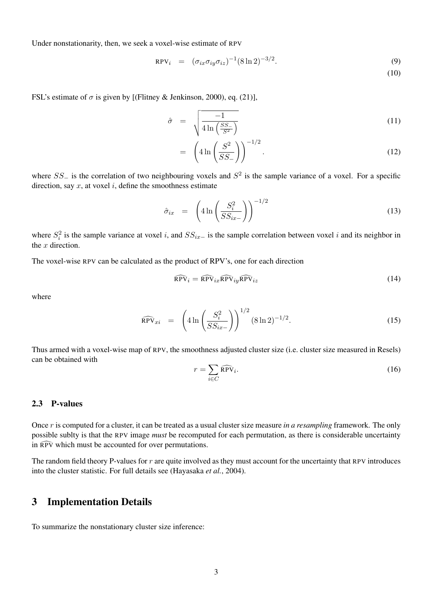Under nonstationarity, then, we seek a voxel-wise estimate of RPV

$$
RPV_i = (\sigma_{ix}\sigma_{iy}\sigma_{iz})^{-1}(8\ln 2)^{-3/2}.
$$
 (9)

(10)

FSL's estimate of  $\sigma$  is given by [(Flitney & Jenkinson, 2000), eq. (21)],

$$
\hat{\sigma} = \sqrt{\frac{-1}{4 \ln\left(\frac{SS_{-}}{S^{2}}\right)}}
$$
\n(11)

$$
= \left(4\ln\left(\frac{S^2}{SS_{-}}\right)\right)^{-1/2}.\tag{12}
$$

where  $SS_$  is the correlation of two neighbouring voxels and  $S<sup>2</sup>$  is the sample variance of a voxel. For a specific direction, say  $x$ , at voxel  $i$ , define the smoothness estimate

$$
\hat{\sigma}_{ix} = \left(4 \ln \left( \frac{S_i^2}{SS_{ix-}} \right) \right)^{-1/2} \tag{13}
$$

where  $S_i^2$  is the sample variance at voxel i, and  $SS_{ix-}$  is the sample correlation between voxel i and its neighbor in the  $x$  direction.

The voxel-wise RPV can be calculated as the product of RPV's, one for each direction

$$
\widehat{\text{RPV}}_i = \widehat{\text{RPV}}_{ix} \widehat{\text{RPV}}_{iy} \widehat{\text{RPV}}_{iz}
$$
\n(14)

where

$$
\widehat{\text{RPV}}_{xi} = \left( 4 \ln \left( \frac{S_i^2}{SS_{ix-}} \right) \right)^{1/2} (8 \ln 2)^{-1/2}.
$$
 (15)

Thus armed with a voxel-wise map of RPV, the smoothness adjusted cluster size (i.e. cluster size measured in Resels) can be obtained with

$$
r = \sum_{i \in C} \widehat{\text{RPV}}_i. \tag{16}
$$

#### 2.3 P-values

Once r is computed for a cluster, it can be treated as a usual cluster size measure *in a resampling* framework. The only possible sublty is that the RPV image *must* be recomputed for each permutation, as there is considerable uncertainty in  $\widehat{RPV}$  which must be accounted for over permutations.

The random field theory P-values for r are quite involved as they must account for the uncertainty that RPV introduces into the cluster statistic. For full details see (Hayasaka *et al.*, 2004).

### 3 Implementation Details

To summarize the nonstationary cluster size inference: